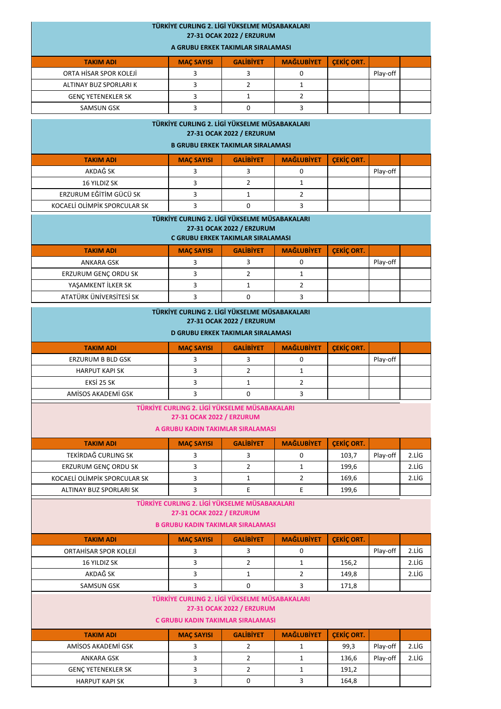|                                                                            | TÜRKİYE CURLING 2. LİGİ YÜKSELME MÜSABAKALARI |                                          |                   |                   |          |       |  |  |
|----------------------------------------------------------------------------|-----------------------------------------------|------------------------------------------|-------------------|-------------------|----------|-------|--|--|
| 27-31 OCAK 2022 / ERZURUM                                                  |                                               |                                          |                   |                   |          |       |  |  |
| A GRUBU ERKEK TAKIMLAR SIRALAMASI                                          |                                               |                                          |                   |                   |          |       |  |  |
| <b>TAKIM ADI</b>                                                           | <b>MAÇ SAYISI</b>                             | <b>GALIBIYET</b>                         | <b>MAĞLUBİYET</b> | <b>CEKIC ORT.</b> |          |       |  |  |
| ORTA HİSAR SPOR KOLEJİ                                                     | 3                                             | 3                                        | 0                 |                   | Play-off |       |  |  |
| ALTINAY BUZ SPORLARI K                                                     | 3                                             | $\overline{2}$                           | $\mathbf{1}$      |                   |          |       |  |  |
| <b>GENÇ YETENEKLER SK</b>                                                  | 3                                             | $\mathbf{1}$                             | $\overline{2}$    |                   |          |       |  |  |
| <b>SAMSUN GSK</b>                                                          | 3                                             | 0                                        | 3                 |                   |          |       |  |  |
| TÜRKİYE CURLING 2. LİGİ YÜKSELME MÜSABAKALARI                              |                                               |                                          |                   |                   |          |       |  |  |
| 27-31 OCAK 2022 / ERZURUM                                                  |                                               |                                          |                   |                   |          |       |  |  |
| <b>B GRUBU ERKEK TAKIMLAR SIRALAMASI</b>                                   |                                               |                                          |                   |                   |          |       |  |  |
| <b>TAKIM ADI</b>                                                           | <b>MAÇ SAYISI</b>                             | <b>GALIBIYET</b>                         | <b>MAĞLUBİYET</b> | <b>ÇEKİÇ ORT.</b> |          |       |  |  |
| AKDAĞ SK                                                                   | 3                                             | 3                                        | 0                 |                   | Play-off |       |  |  |
| 16 YILDIZ SK                                                               | 3                                             | $\overline{2}$                           | $\mathbf{1}$      |                   |          |       |  |  |
| ERZURUM EĞİTİM GÜCÜ SK                                                     | 3                                             | $\mathbf{1}$                             | $\overline{2}$    |                   |          |       |  |  |
| KOCAELİ OLİMPİK SPORCULAR SK                                               | 3                                             | $\Omega$                                 | 3                 |                   |          |       |  |  |
|                                                                            |                                               |                                          |                   |                   |          |       |  |  |
| TÜRKİYE CURLING 2. LİGİ YÜKSELME MÜSABAKALARI<br>27-31 OCAK 2022 / ERZURUM |                                               |                                          |                   |                   |          |       |  |  |
| C GRUBU ERKEK TAKIMLAR SIRALAMASI                                          |                                               |                                          |                   |                   |          |       |  |  |
| <b>TAKIM ADI</b>                                                           | <b>MAÇ SAYISI</b>                             | <b>GALIBIYET</b>                         | <b>MAĞLUBİYET</b> | <b>ÇEKİÇ ORT.</b> |          |       |  |  |
| <b>ANKARA GSK</b>                                                          | 3                                             | 3                                        | 0                 |                   | Play-off |       |  |  |
| ERZURUM GENÇ ORDU SK                                                       | 3                                             | $\overline{2}$                           | $\mathbf{1}$      |                   |          |       |  |  |
| YAŞAMKENT İLKER SK                                                         | 3                                             | $\mathbf{1}$                             | $\overline{2}$    |                   |          |       |  |  |
| ATATÜRK ÜNİVERSİTESİ SK                                                    | 3                                             | 0                                        | 3                 |                   |          |       |  |  |
|                                                                            | TÜRKİYE CURLING 2. LİGİ YÜKSELME MÜSABAKALARI |                                          |                   |                   |          |       |  |  |
|                                                                            |                                               | 27-31 OCAK 2022 / ERZURUM                |                   |                   |          |       |  |  |
|                                                                            |                                               | <b>D GRUBU ERKEK TAKIMLAR SIRALAMASI</b> |                   |                   |          |       |  |  |
|                                                                            |                                               |                                          |                   |                   |          |       |  |  |
| <b>TAKIM ADI</b>                                                           | <b>MAÇ SAYISI</b>                             | <b>GALIBIYET</b>                         | <b>MAĞLUBİYET</b> | <b>CEKIC ORT.</b> |          |       |  |  |
| <b>ERZURUM B BLD GSK</b>                                                   | 3                                             | 3                                        | 0                 |                   | Play-off |       |  |  |
| <b>HARPUT KAPI SK</b>                                                      | 3                                             | $\overline{2}$                           | $\mathbf{1}$      |                   |          |       |  |  |
| EKSİ 25 SK                                                                 | 3                                             | $\mathbf{1}$                             | $\overline{2}$    |                   |          |       |  |  |
| AMÍSOS AKADEMÍ GSK                                                         | 3                                             | 0                                        | 3                 |                   |          |       |  |  |
|                                                                            | TÜRKİYE CURLING 2. LİGİ YÜKSELME MÜSABAKALARI |                                          |                   |                   |          |       |  |  |
| 27-31 OCAK 2022 / ERZURUM                                                  |                                               |                                          |                   |                   |          |       |  |  |
| A GRUBU KADIN TAKIMLAR SIRALAMASI                                          |                                               |                                          |                   |                   |          |       |  |  |
| <b>TAKIM ADI</b>                                                           | <b>MAÇ SAYISI</b>                             | <b>GALIBIYET</b>                         | <b>MAĞLUBİYET</b> | <b>ÇEKİÇ ORT.</b> |          |       |  |  |
| TEKİRDAĞ CURLING SK                                                        | 3                                             | 3                                        | 0                 | 103,7             | Play-off | 2.LİG |  |  |
| ERZURUM GENÇ ORDU SK                                                       | 3                                             | $\overline{2}$                           | $\mathbf{1}$      | 199,6             |          | 2.LİG |  |  |
| KOCAELİ OLİMPİK SPORCULAR SK                                               | 3                                             | $\mathbf{1}$                             | $\overline{2}$    | 169,6             |          | 2.LİG |  |  |
| ALTINAY BUZ SPORLARI SK                                                    | 3                                             | E.                                       | E.                | 199,6             |          |       |  |  |
| TÜRKİYE CURLING 2. LİGİ YÜKSELME MÜSABAKALARI                              |                                               |                                          |                   |                   |          |       |  |  |
| 27-31 OCAK 2022 / ERZURUM                                                  |                                               |                                          |                   |                   |          |       |  |  |
|                                                                            | <b>B GRUBU KADIN TAKIMLAR SIRALAMASI</b>      |                                          |                   |                   |          |       |  |  |
| <b>TAKIM ADI</b>                                                           | <b>MAÇ SAYISI</b>                             | <b>GALIBIYET</b>                         | <b>MAĞLUBİYET</b> | <b>ÇEKİÇ ORT.</b> |          |       |  |  |
| ORTAHISAR SPOR KOLEJI                                                      | 3                                             | 3                                        | 0                 |                   | Play-off | 2.LİG |  |  |
| 16 YILDIZ SK                                                               | 3                                             | $\overline{2}$                           | $\mathbf{1}$      | 156,2             |          | 2.LİG |  |  |
| AKDAĞ SK                                                                   | 3                                             | $\mathbf{1}$                             | $\overline{2}$    | 149,8             |          | 2.LİG |  |  |
| <b>SAMSUN GSK</b>                                                          | 3                                             | 0                                        | 3                 | 171,8             |          |       |  |  |
| TÜRKİYE CURLING 2. LİGİ YÜKSELME MÜSABAKALARI                              |                                               |                                          |                   |                   |          |       |  |  |
| 27-31 OCAK 2022 / ERZURUM                                                  |                                               |                                          |                   |                   |          |       |  |  |
| C GRUBU KADIN TAKIMLAR SIRALAMASI                                          |                                               |                                          |                   |                   |          |       |  |  |
| <b>TAKIM ADI</b>                                                           | <b>MAÇ SAYISI</b>                             | <b>GALIBIYET</b>                         | <b>MAĞLUBİYET</b> | <b>ÇEKİÇ ORT.</b> |          |       |  |  |
| AMÍSOS AKADEMÍ GSK                                                         | 3                                             | $\overline{2}$                           | $\mathbf{1}$      | 99,3              | Play-off | 2.LİG |  |  |
| <b>ANKARA GSK</b>                                                          | 3                                             | $\overline{2}$                           | $\mathbf{1}$      | 136,6             | Play-off | 2.LİG |  |  |
| <b>GENÇ YETENEKLER SK</b>                                                  | 3                                             | $\overline{2}$                           | $\mathbf{1}$      | 191,2             |          |       |  |  |
| <b>HARPUT KAPI SK</b>                                                      | 3                                             | $\mathbf 0$                              | 3                 | 164,8             |          |       |  |  |
|                                                                            |                                               |                                          |                   |                   |          |       |  |  |